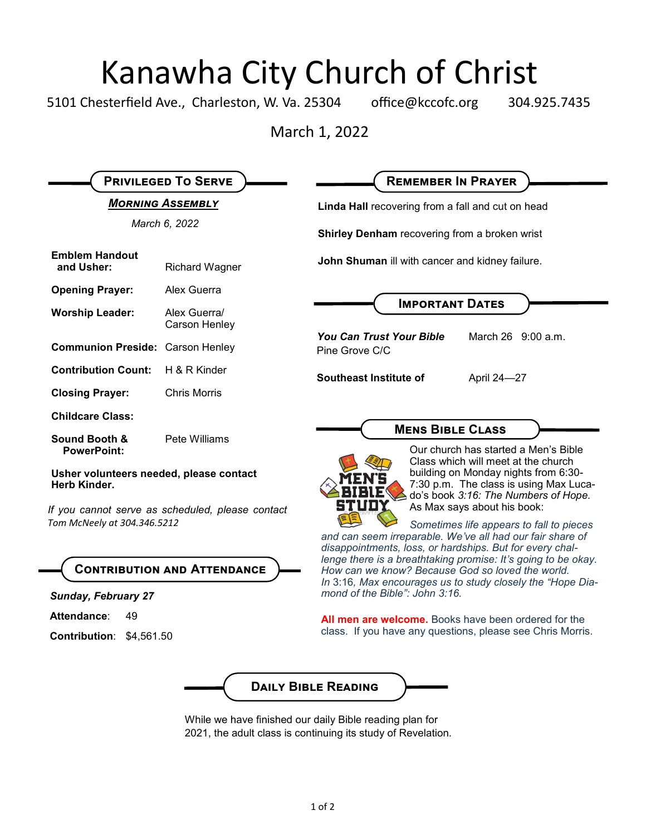# Kanawha City Church of Christ<br>esterfield Ave., Charleston, W. Va. 25304 office@kccofc.org 304.9

5101 Chesterfield Ave., Charleston, W. Va. 25304 office@kccofc.org 304.925.7435

March 1, 2022

| <b>PRIVILEGED TO SERVE</b>                                                      |                               | <b>REMEMBER IN PRAYER</b>                                                                                                                                                                        |  |
|---------------------------------------------------------------------------------|-------------------------------|--------------------------------------------------------------------------------------------------------------------------------------------------------------------------------------------------|--|
| <b>MORNING ASSEMBLY</b>                                                         |                               | Linda Hall recovering from a fall and cut on head                                                                                                                                                |  |
| March 6, 2022                                                                   |                               | Shirley Denham recovering from a broken wrist                                                                                                                                                    |  |
| <b>Emblem Handout</b><br>and Usher:                                             | <b>Richard Wagner</b>         | John Shuman ill with cancer and kidney failure.                                                                                                                                                  |  |
| <b>Opening Prayer:</b>                                                          | Alex Guerra                   |                                                                                                                                                                                                  |  |
| <b>Worship Leader:</b>                                                          | Alex Guerra/<br>Carson Henley | <b>IMPORTANT DATES</b>                                                                                                                                                                           |  |
| <b>Communion Preside: Carson Henley</b>                                         |                               | <b>You Can Trust Your Bible</b><br>March 26 9:00 a.m.<br>Pine Grove C/C                                                                                                                          |  |
| <b>Contribution Count:</b>                                                      | H & R Kinder                  | Southeast Institute of<br>April 24-27                                                                                                                                                            |  |
| <b>Closing Prayer:</b>                                                          | <b>Chris Morris</b>           |                                                                                                                                                                                                  |  |
| <b>Childcare Class:</b>                                                         |                               |                                                                                                                                                                                                  |  |
| Sound Booth &<br><b>PowerPoint:</b>                                             | Pete Williams                 | <b>MENS BIBLE CLASS</b><br>Our church has started a Men's Bible<br>Class which will meet at the church                                                                                           |  |
| Usher volunteers needed, please contact<br>Herb Kinder.                         |                               | building on Monday nights from 6:30-<br>7:30 p.m. The class is using Max Luca-<br>do's book 3:16: The Numbers of Hope.                                                                           |  |
| If you cannot serve as scheduled, please contact<br>Tom McNeely at 304.346.5212 |                               | As Max says about his book:<br>Sometimes life appears to fall to pieces<br>and can seem irreparable. We've all had our fair share of<br>disappointments, loss, or hardships. But for every chal- |  |
| <b>CONTRIBUTION AND ATTENDANCE</b>                                              |                               | lenge there is a breathtaking promise: It's going to be okay.<br>How can we know? Because God so loved the world.                                                                                |  |
| <b>Sunday, February 27</b>                                                      |                               | In 3:16, Max encourages us to study closely the "Hope Dia-<br>mond of the Bible": John 3:16.                                                                                                     |  |
| Attendance:<br>49<br><b>Contribution: \$4,561.50</b>                            |                               | All men are welcome. Books have been ordered for the<br>class. If you have any questions, please see Chris Morris.                                                                               |  |
|                                                                                 |                               |                                                                                                                                                                                                  |  |

While we have finished our daily Bible reading plan for 2021, the adult class is continuing its study of Revelation.

**Daily Bible Reading**